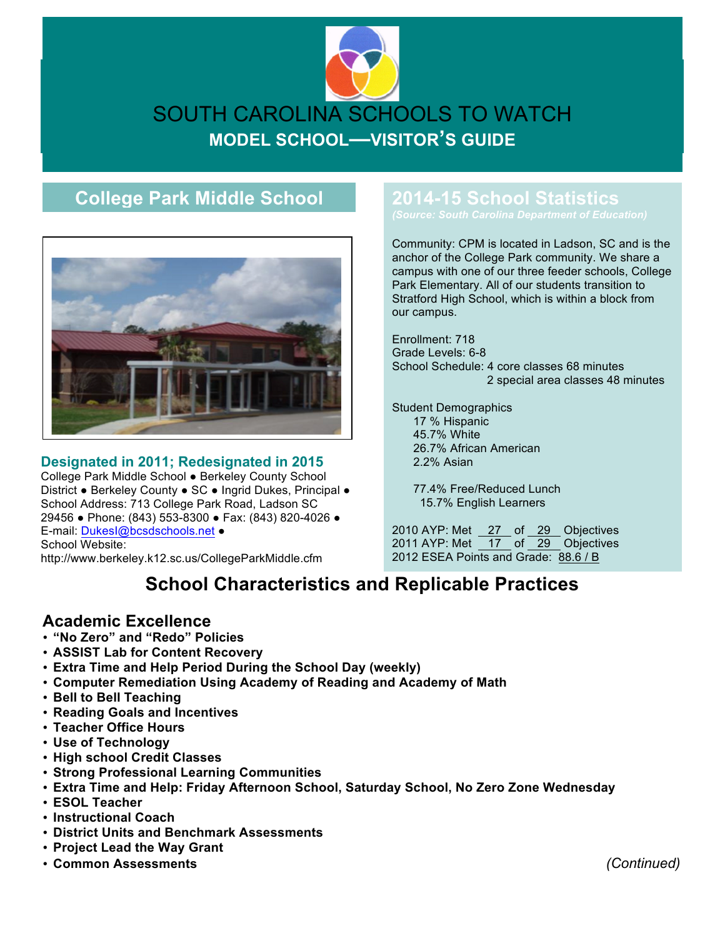# SOUTH CAROLINA SCHOOLS TO WATCH **MODEL SCHOOL—VISITOR'S GUIDE**

## **College Park Middle School**



#### **Designated in 2011; Redesignated in 2015**

College Park Middle School ● Berkeley County School District ● Berkeley County ● SC ● Ingrid Dukes, Principal ● School Address: 713 College Park Road, Ladson SC 29456 ● Phone: (843) 553-8300 ● Fax: (843) 820-4026 ● E-mail: DukesI@bcsdschools.net ● School Website:

http://www.berkeley.k12.sc.us/CollegeParkMiddle.cfm

## **2014-15 School Statistics**

Community: CPM is located in Ladson, SC and is the anchor of the College Park community. We share a campus with one of our three feeder schools, College Park Elementary. All of our students transition to Stratford High School, which is within a block from our campus.

Enrollment: 718 Grade Levels: 6-8 School Schedule: 4 core classes 68 minutes 2 special area classes 48 minutes

Student Demographics 17 % Hispanic 45.7% White 26.7% African American 2.2% Asian

> 77.4% Free/Reduced Lunch 15.7% English Learners

2010 AYP: Met 27 of 29 Objectives 2011 AYP: Met  $\boxed{17}$  of  $\boxed{29}$  Objectives 2012 ESEA Points and Grade: 88.6 / B

# **School Characteristics and Replicable Practices**

#### **Academic Excellence**

- **"No Zero" and "Redo" Policies**
- **ASSIST Lab for Content Recovery**
- **Extra Time and Help Period During the School Day (weekly)**
- **Computer Remediation Using Academy of Reading and Academy of Math**
- **Bell to Bell Teaching**
- **Reading Goals and Incentives**
- **Teacher Office Hours**
- **Use of Technology**
- **High school Credit Classes**
- **Strong Professional Learning Communities**
- **Extra Time and Help: Friday Afternoon School, Saturday School, No Zero Zone Wednesday**
- **ESOL Teacher**
- **Instructional Coach**
- **District Units and Benchmark Assessments**
- **Project Lead the Way Grant**
- **Common Assessments** *(Continued)*